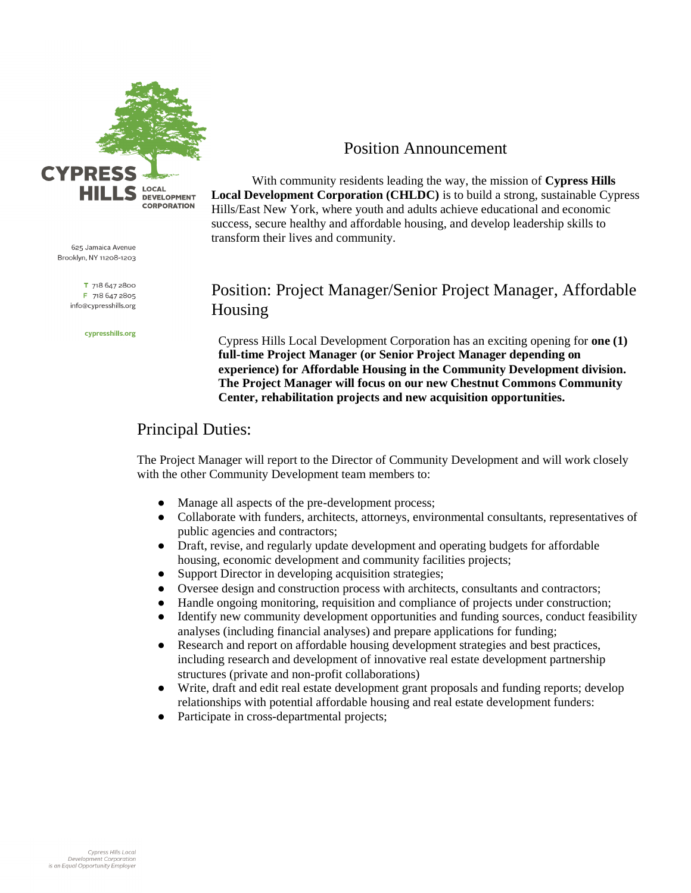

625 Jamaica Avenue Brooklyn, NY 11208-1203

> T 718 647 2800 F 718 647 2805 info@cypresshills.org

> > cypresshills.org

#### Position Announcement

With community residents leading the way, the mission of **Cypress Hills Local Development Corporation (CHLDC)** is to build a strong, sustainable Cypress Hills/East New York, where youth and adults achieve educational and economic success, secure healthy and affordable housing, and develop leadership skills to transform their lives and community.

## Position: Project Manager/Senior Project Manager, Affordable Housing

Cypress Hills Local Development Corporation has an exciting opening for **one (1) full-time Project Manager (or Senior Project Manager depending on experience) for Affordable Housing in the Community Development division. The Project Manager will focus on our new Chestnut Commons Community Center, rehabilitation projects and new acquisition opportunities.** 

# Principal Duties:

The Project Manager will report to the Director of Community Development and will work closely with the other Community Development team members to:

- Manage all aspects of the pre-development process;
- Collaborate with funders, architects, attorneys, environmental consultants, representatives of public agencies and contractors;
- Draft, revise, and regularly update development and operating budgets for affordable housing, economic development and community facilities projects;
- Support Director in developing acquisition strategies;
- Oversee design and construction process with architects, consultants and contractors;
- Handle ongoing monitoring, requisition and compliance of projects under construction;
- Identify new community development opportunities and funding sources, conduct feasibility analyses (including financial analyses) and prepare applications for funding;
- Research and report on affordable housing development strategies and best practices, including research and development of innovative real estate development partnership structures (private and non-profit collaborations)
- Write, draft and edit real estate development grant proposals and funding reports; develop relationships with potential affordable housing and real estate development funders:
- Participate in cross-departmental projects;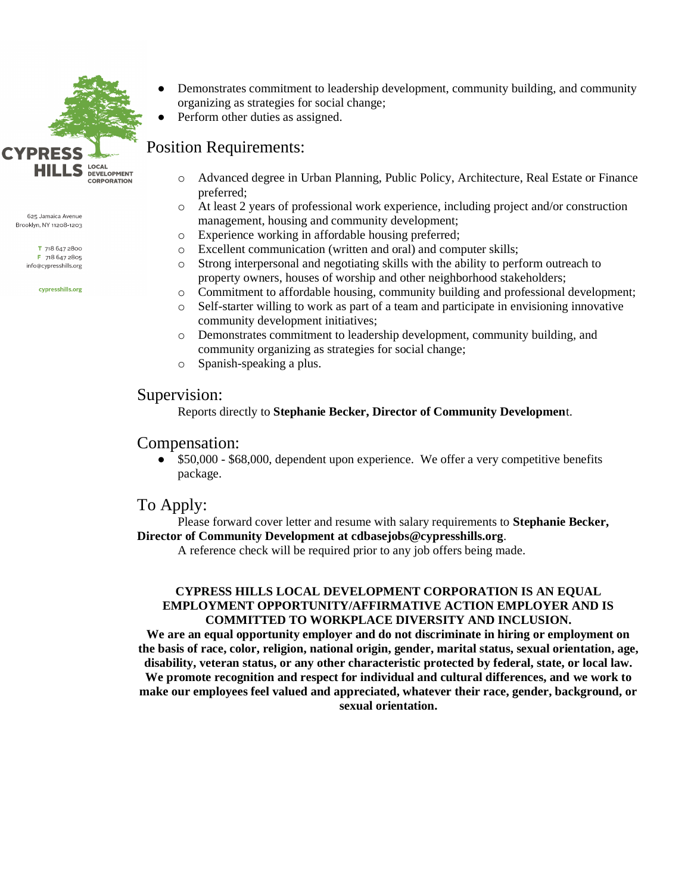

625 Jamaica Avenue Brooklyn, NY 11208-1203

> T 718 647 2800 F 718 647 2805 info@cypresshills.org

> > cypresshills.org

- Demonstrates commitment to leadership development, community building, and community organizing as strategies for social change;
- Perform other duties as assigned.

# Position Requirements:

- o Advanced degree in Urban Planning, Public Policy, Architecture, Real Estate or Finance preferred;
- o At least 2 years of professional work experience, including project and/or construction management, housing and community development;
- o Experience working in affordable housing preferred;
- o Excellent communication (written and oral) and computer skills;
- o Strong interpersonal and negotiating skills with the ability to perform outreach to property owners, houses of worship and other neighborhood stakeholders;
- o Commitment to affordable housing, community building and professional development;
- o Self-starter willing to work as part of a team and participate in envisioning innovative community development initiatives;
- o Demonstrates commitment to leadership development, community building, and community organizing as strategies for social change;
- o Spanish-speaking a plus.

#### Supervision:

Reports directly to **Stephanie Becker, Director of Community Developmen**t.

### Compensation:

• \$50,000 - \$68,000, dependent upon experience. We offer a very competitive benefits package.

### To Apply:

Please forward cover letter and resume with salary requirements to **Stephanie Becker, Director of Community Development at cdbasejobs@cypresshills.org**.

A reference check will be required prior to any job offers being made.

#### **CYPRESS HILLS LOCAL DEVELOPMENT CORPORATION IS AN EQUAL EMPLOYMENT OPPORTUNITY/AFFIRMATIVE ACTION EMPLOYER AND IS COMMITTED TO WORKPLACE DIVERSITY AND INCLUSION.**

**We are an equal opportunity employer and do not discriminate in hiring or employment on the basis of race, color, religion, national origin, gender, marital status, sexual orientation, age, disability, veteran status, or any other characteristic protected by federal, state, or local law. We promote recognition and respect for individual and cultural differences, and we work to make our employees feel valued and appreciated, whatever their race, gender, background, or sexual orientation.**